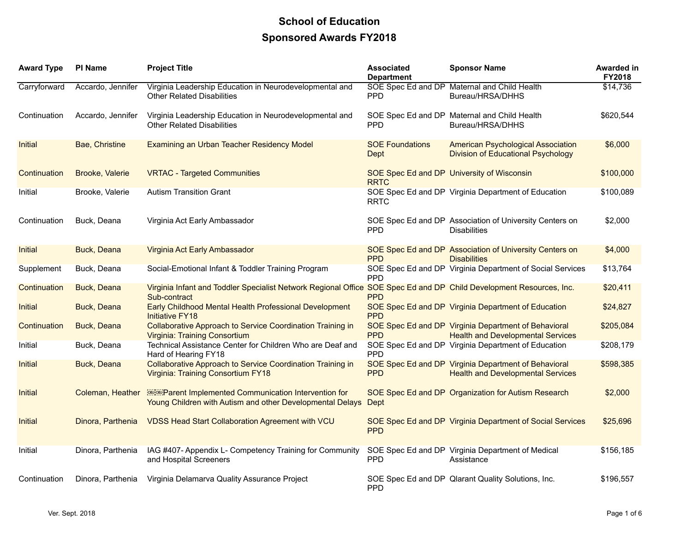## **School of Education Sponsored Awards FY2018**

| <b>Award Type</b> | <b>PI Name</b>    | <b>Project Title</b>                                                                                                                | <b>Associated</b><br><b>Department</b> | <b>Sponsor Name</b>                                                                              | Awarded in<br><b>FY2018</b> |
|-------------------|-------------------|-------------------------------------------------------------------------------------------------------------------------------------|----------------------------------------|--------------------------------------------------------------------------------------------------|-----------------------------|
| Carryforward      | Accardo, Jennifer | Virginia Leadership Education in Neurodevelopmental and<br><b>Other Related Disabilities</b>                                        | <b>PPD</b>                             | SOE Spec Ed and DP Maternal and Child Health<br>Bureau/HRSA/DHHS                                 | \$14,736                    |
| Continuation      | Accardo, Jennifer | Virginia Leadership Education in Neurodevelopmental and<br><b>Other Related Disabilities</b>                                        | <b>PPD</b>                             | SOE Spec Ed and DP Maternal and Child Health<br>Bureau/HRSA/DHHS                                 | \$620,544                   |
| Initial           | Bae, Christine    | <b>Examining an Urban Teacher Residency Model</b>                                                                                   | <b>SOE Foundations</b><br><b>Dept</b>  | <b>American Psychological Association</b><br><b>Division of Educational Psychology</b>           | \$6,000                     |
| Continuation      | Brooke, Valerie   | <b>VRTAC - Targeted Communities</b>                                                                                                 | <b>RRTC</b>                            | SOE Spec Ed and DP University of Wisconsin                                                       | \$100,000                   |
| Initial           | Brooke, Valerie   | <b>Autism Transition Grant</b>                                                                                                      | <b>RRTC</b>                            | SOE Spec Ed and DP Virginia Department of Education                                              | \$100,089                   |
| Continuation      | Buck, Deana       | Virginia Act Early Ambassador                                                                                                       | <b>PPD</b>                             | SOE Spec Ed and DP Association of University Centers on<br><b>Disabilities</b>                   | \$2,000                     |
| Initial           | Buck, Deana       | Virginia Act Early Ambassador                                                                                                       | <b>PPD</b>                             | SOE Spec Ed and DP Association of University Centers on<br><b>Disabilities</b>                   | \$4,000                     |
| Supplement        | Buck, Deana       | Social-Emotional Infant & Toddler Training Program                                                                                  | <b>PPD</b>                             | SOE Spec Ed and DP Virginia Department of Social Services                                        | \$13,764                    |
| Continuation      | Buck, Deana       | Virginia Infant and Toddler Specialist Network Regional Office SOE Spec Ed and DP Child Development Resources, Inc.<br>Sub-contract | <b>PPD</b>                             |                                                                                                  | \$20,411                    |
| Initial           | Buck, Deana       | Early Childhood Mental Health Professional Development<br><b>Initiative FY18</b>                                                    | <b>PPD</b>                             | SOE Spec Ed and DP Virginia Department of Education                                              | \$24,827                    |
| Continuation      | Buck, Deana       | Collaborative Approach to Service Coordination Training in<br><b>Virginia: Training Consortium</b>                                  | <b>PPD</b>                             | SOE Spec Ed and DP Virginia Department of Behavioral<br><b>Health and Developmental Services</b> | \$205,084                   |
| Initial           | Buck, Deana       | Technical Assistance Center for Children Who are Deaf and<br>Hard of Hearing FY18                                                   | <b>PPD</b>                             | SOE Spec Ed and DP Virginia Department of Education                                              | \$208,179                   |
| Initial           | Buck, Deana       | Collaborative Approach to Service Coordination Training in<br>Virginia: Training Consortium FY18                                    | <b>PPD</b>                             | SOE Spec Ed and DP Virginia Department of Behavioral<br><b>Health and Developmental Services</b> | \$598,385                   |
| Initial           | Coleman, Heather  | <b>READER</b> Parent Implemented Communication Intervention for<br>Young Children with Autism and other Developmental Delays        | Dept                                   | SOE Spec Ed and DP Organization for Autism Research                                              | \$2,000                     |
| Initial           | Dinora, Parthenia | <b>VDSS Head Start Collaboration Agreement with VCU</b>                                                                             | <b>PPD</b>                             | SOE Spec Ed and DP Virginia Department of Social Services                                        | \$25,696                    |
| Initial           | Dinora, Parthenia | IAG #407- Appendix L- Competency Training for Community<br>and Hospital Screeners                                                   | <b>PPD</b>                             | SOE Spec Ed and DP Virginia Department of Medical<br>Assistance                                  | \$156,185                   |
| Continuation      | Dinora, Parthenia | Virginia Delamarva Quality Assurance Project                                                                                        | <b>PPD</b>                             | SOE Spec Ed and DP Qlarant Quality Solutions, Inc.                                               | \$196,557                   |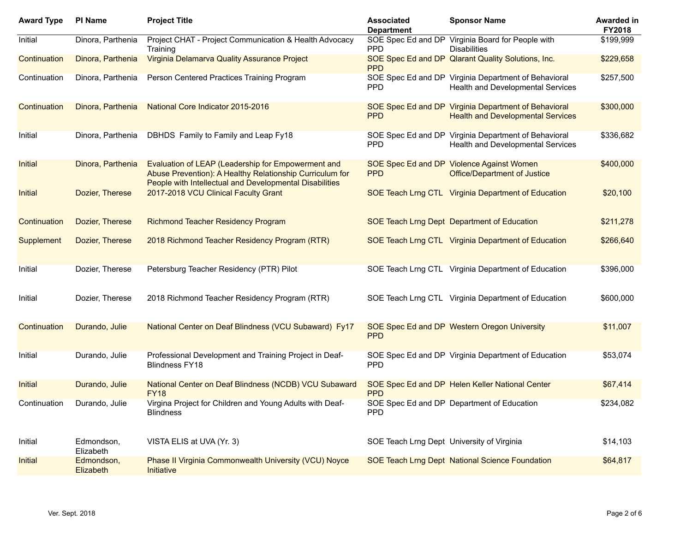| <b>Award Type</b> | <b>PI Name</b>          | <b>Project Title</b>                                                                                                                                                      | <b>Associated</b><br><b>Department</b>     | <b>Sponsor Name</b>                                                                              | <b>Awarded in</b><br>FY2018 |
|-------------------|-------------------------|---------------------------------------------------------------------------------------------------------------------------------------------------------------------------|--------------------------------------------|--------------------------------------------------------------------------------------------------|-----------------------------|
| Initial           | Dinora, Parthenia       | Project CHAT - Project Communication & Health Advocacy<br>Training                                                                                                        | <b>PPD</b>                                 | SOE Spec Ed and DP Virginia Board for People with<br><b>Disabilities</b>                         | \$199,999                   |
| Continuation      | Dinora, Parthenia       | Virginia Delamarva Quality Assurance Project                                                                                                                              | <b>PPD</b>                                 | SOE Spec Ed and DP Qlarant Quality Solutions, Inc.                                               | \$229,658                   |
| Continuation      | Dinora, Parthenia       | Person Centered Practices Training Program                                                                                                                                | <b>PPD</b>                                 | SOE Spec Ed and DP Virginia Department of Behavioral<br><b>Health and Developmental Services</b> | \$257,500                   |
| Continuation      | Dinora, Parthenia       | National Core Indicator 2015-2016                                                                                                                                         | <b>PPD</b>                                 | SOE Spec Ed and DP Virginia Department of Behavioral<br><b>Health and Developmental Services</b> | \$300,000                   |
| Initial           | Dinora, Parthenia       | DBHDS Family to Family and Leap Fy18                                                                                                                                      | <b>PPD</b>                                 | SOE Spec Ed and DP Virginia Department of Behavioral<br>Health and Developmental Services        | \$336,682                   |
| Initial           | Dinora, Parthenia       | Evaluation of LEAP (Leadership for Empowerment and<br>Abuse Prevention): A Healthy Relationship Curriculum for<br>People with Intellectual and Developmental Disabilities | <b>PPD</b>                                 | SOE Spec Ed and DP Violence Against Women<br><b>Office/Department of Justice</b>                 | \$400,000                   |
| Initial           | Dozier, Therese         | 2017-2018 VCU Clinical Faculty Grant                                                                                                                                      |                                            | SOE Teach Lrng CTL Virginia Department of Education                                              | \$20,100                    |
| Continuation      | Dozier, Therese         | <b>Richmond Teacher Residency Program</b>                                                                                                                                 |                                            | SOE Teach Lrng Dept Department of Education                                                      | \$211,278                   |
| Supplement        | Dozier, Therese         | 2018 Richmond Teacher Residency Program (RTR)                                                                                                                             |                                            | SOE Teach Lrng CTL Virginia Department of Education                                              | \$266,640                   |
| Initial           | Dozier, Therese         | Petersburg Teacher Residency (PTR) Pilot                                                                                                                                  |                                            | SOE Teach Lrng CTL Virginia Department of Education                                              | \$396,000                   |
| Initial           | Dozier, Therese         | 2018 Richmond Teacher Residency Program (RTR)                                                                                                                             |                                            | SOE Teach Lrng CTL Virginia Department of Education                                              | \$600,000                   |
| Continuation      | Durando, Julie          | National Center on Deaf Blindness (VCU Subaward) Fy17                                                                                                                     | <b>PPD</b>                                 | SOE Spec Ed and DP Western Oregon University                                                     | \$11,007                    |
| Initial           | Durando, Julie          | Professional Development and Training Project in Deaf-<br><b>Blindness FY18</b>                                                                                           | <b>PPD</b>                                 | SOE Spec Ed and DP Virginia Department of Education                                              | \$53,074                    |
| Initial           | Durando, Julie          | National Center on Deaf Blindness (NCDB) VCU Subaward<br><b>FY18</b>                                                                                                      | <b>PPD</b>                                 | SOE Spec Ed and DP Helen Keller National Center                                                  | \$67,414                    |
| Continuation      | Durando, Julie          | Virgina Project for Children and Young Adults with Deaf-<br><b>Blindness</b>                                                                                              | <b>PPD</b>                                 | SOE Spec Ed and DP Department of Education                                                       | \$234,082                   |
| Initial           | Edmondson,<br>Elizabeth | VISTA ELIS at UVA (Yr. 3)                                                                                                                                                 | SOE Teach Lrng Dept University of Virginia |                                                                                                  | \$14,103                    |
| Initial           | Edmondson,<br>Elizabeth | Phase II Virginia Commonwealth University (VCU) Noyce<br>Initiative                                                                                                       |                                            | SOE Teach Lrng Dept National Science Foundation                                                  | \$64,817                    |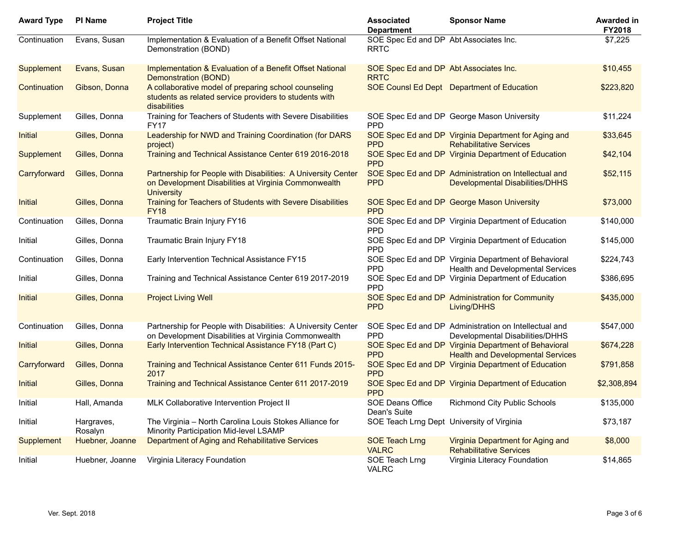| <b>Award Type</b> | <b>PI Name</b>        | <b>Project Title</b>                                                                                                                       | <b>Associated</b><br><b>Department</b>                | <b>Sponsor Name</b>                                                                              | Awarded in<br>FY2018 |
|-------------------|-----------------------|--------------------------------------------------------------------------------------------------------------------------------------------|-------------------------------------------------------|--------------------------------------------------------------------------------------------------|----------------------|
| Continuation      | Evans, Susan          | Implementation & Evaluation of a Benefit Offset National<br>Demonstration (BOND)                                                           | SOE Spec Ed and DP Abt Associates Inc.<br><b>RRTC</b> |                                                                                                  | \$7,225              |
| Supplement        | Evans, Susan          | Implementation & Evaluation of a Benefit Offset National<br>Demonstration (BOND)                                                           | SOE Spec Ed and DP Abt Associates Inc.<br><b>RRTC</b> |                                                                                                  | \$10,455             |
| Continuation      | Gibson, Donna         | A collaborative model of preparing school counseling<br>students as related service providers to students with<br>disabilities             |                                                       | <b>SOE CounsI Ed Dept</b> Department of Education                                                | \$223,820            |
| Supplement        | Gilles, Donna         | Training for Teachers of Students with Severe Disabilities<br>FY17                                                                         | <b>PPD</b>                                            | SOE Spec Ed and DP George Mason University                                                       | \$11,224             |
| Initial           | Gilles, Donna         | Leadership for NWD and Training Coordination (for DARS<br>project)                                                                         | <b>PPD</b>                                            | SOE Spec Ed and DP Virginia Department for Aging and<br><b>Rehabilitative Services</b>           | \$33,645             |
| Supplement        | Gilles, Donna         | Training and Technical Assistance Center 619 2016-2018                                                                                     | <b>PPD</b>                                            | SOE Spec Ed and DP Virginia Department of Education                                              | \$42,104             |
| Carryforward      | Gilles, Donna         | Partnership for People with Disabilities: A University Center<br>on Development Disabilities at Virginia Commonwealth<br><b>University</b> | <b>PPD</b>                                            | SOE Spec Ed and DP Administration on Intellectual and<br><b>Developmental Disabilities/DHHS</b>  | \$52,115             |
| Initial           | Gilles, Donna         | Training for Teachers of Students with Severe Disabilities<br><b>FY18</b>                                                                  | <b>PPD</b>                                            | SOE Spec Ed and DP George Mason University                                                       | \$73,000             |
| Continuation      | Gilles, Donna         | Traumatic Brain Injury FY16                                                                                                                | <b>PPD</b>                                            | SOE Spec Ed and DP Virginia Department of Education                                              | \$140,000            |
| Initial           | Gilles, Donna         | Traumatic Brain Injury FY18                                                                                                                | <b>PPD</b>                                            | SOE Spec Ed and DP Virginia Department of Education                                              | \$145,000            |
| Continuation      | Gilles, Donna         | Early Intervention Technical Assistance FY15                                                                                               | <b>PPD</b>                                            | SOE Spec Ed and DP Virginia Department of Behavioral<br>Health and Developmental Services        | \$224,743            |
| Initial           | Gilles, Donna         | Training and Technical Assistance Center 619 2017-2019                                                                                     | <b>PPD</b>                                            | SOE Spec Ed and DP Virginia Department of Education                                              | \$386,695            |
| Initial           | Gilles, Donna         | <b>Project Living Well</b>                                                                                                                 | <b>PPD</b>                                            | SOE Spec Ed and DP Administration for Community<br>Living/DHHS                                   | \$435,000            |
| Continuation      | Gilles, Donna         | Partnership for People with Disabilities: A University Center<br>on Development Disabilities at Virginia Commonwealth                      | <b>PPD</b>                                            | SOE Spec Ed and DP Administration on Intellectual and<br>Developmental Disabilities/DHHS         | \$547,000            |
| Initial           | Gilles, Donna         | Early Intervention Technical Assistance FY18 (Part C)                                                                                      | <b>PPD</b>                                            | SOE Spec Ed and DP Virginia Department of Behavioral<br><b>Health and Developmental Services</b> | \$674,228            |
| Carryforward      | Gilles, Donna         | Training and Technical Assistance Center 611 Funds 2015-<br>2017                                                                           | <b>PPD</b>                                            | SOE Spec Ed and DP Virginia Department of Education                                              | \$791,858            |
| Initial           | Gilles, Donna         | Training and Technical Assistance Center 611 2017-2019                                                                                     | <b>PPD</b>                                            | SOE Spec Ed and DP Virginia Department of Education                                              | \$2,308,894          |
| Initial           | Hall, Amanda          | MLK Collaborative Intervention Project II                                                                                                  | SOE Deans Office<br>Dean's Suite                      | <b>Richmond City Public Schools</b>                                                              | \$135,000            |
| Initial           | Hargraves,<br>Rosalyn | The Virginia - North Carolina Louis Stokes Alliance for<br>Minority Participation Mid-level LSAMP                                          | SOE Teach Lrng Dept University of Virginia            |                                                                                                  | \$73,187             |
| Supplement        | Huebner, Joanne       | Department of Aging and Rehabilitative Services                                                                                            | <b>SOE Teach Lrng</b><br><b>VALRC</b>                 | Virginia Department for Aging and<br><b>Rehabilitative Services</b>                              | \$8,000              |
| Initial           | Huebner, Joanne       | Virginia Literacy Foundation                                                                                                               | SOE Teach Lrng<br><b>VALRC</b>                        | Virginia Literacy Foundation                                                                     | \$14,865             |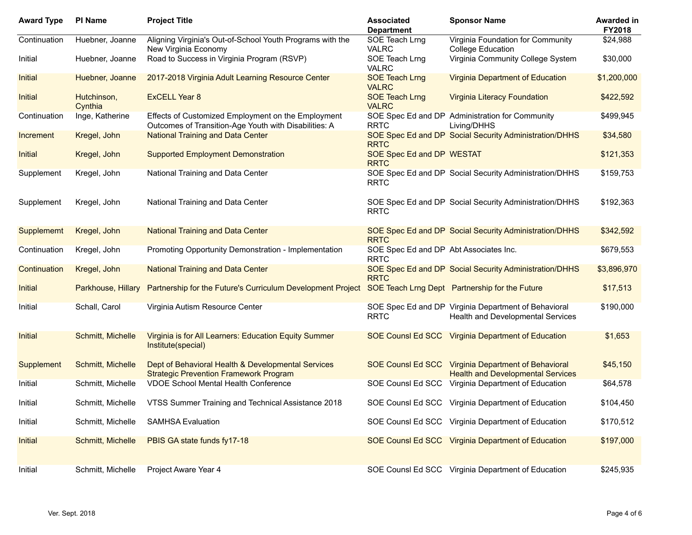| <b>Award Type</b> | <b>PI Name</b>         | <b>Project Title</b>                                                                                        | <b>Associated</b><br><b>Department</b>                | <b>Sponsor Name</b>                                                                       | <b>Awarded in</b><br>FY2018 |
|-------------------|------------------------|-------------------------------------------------------------------------------------------------------------|-------------------------------------------------------|-------------------------------------------------------------------------------------------|-----------------------------|
| Continuation      | Huebner, Joanne        | Aligning Virginia's Out-of-School Youth Programs with the<br>New Virginia Economy                           | SOE Teach Lrng<br><b>VALRC</b>                        | Virginia Foundation for Community<br><b>College Education</b>                             | \$24,988                    |
| Initial           | Huebner, Joanne        | Road to Success in Virginia Program (RSVP)                                                                  | SOE Teach Lrng<br><b>VALRC</b>                        | Virginia Community College System                                                         | \$30,000                    |
| Initial           | Huebner, Joanne        | 2017-2018 Virginia Adult Learning Resource Center                                                           | <b>SOE Teach Lrng</b><br><b>VALRC</b>                 | <b>Virginia Department of Education</b>                                                   | \$1,200,000                 |
| Initial           | Hutchinson,<br>Cynthia | <b>ExCELL Year 8</b>                                                                                        | <b>SOE Teach Lrng</b><br><b>VALRC</b>                 | <b>Virginia Literacy Foundation</b>                                                       | \$422,592                   |
| Continuation      | Inge, Katherine        | Effects of Customized Employment on the Employment<br>Outcomes of Transition-Age Youth with Disabilities: A | <b>RRTC</b>                                           | SOE Spec Ed and DP Administration for Community<br>Living/DHHS                            | \$499,945                   |
| Increment         | Kregel, John           | <b>National Training and Data Center</b>                                                                    | <b>RRTC</b>                                           | SOE Spec Ed and DP Social Security Administration/DHHS                                    | \$34,580                    |
| Initial           | Kregel, John           | <b>Supported Employment Demonstration</b>                                                                   | SOE Spec Ed and DP WESTAT<br><b>RRTC</b>              |                                                                                           | \$121,353                   |
| Supplement        | Kregel, John           | National Training and Data Center                                                                           | <b>RRTC</b>                                           | SOE Spec Ed and DP Social Security Administration/DHHS                                    | \$159,753                   |
| Supplement        | Kregel, John           | National Training and Data Center                                                                           | <b>RRTC</b>                                           | SOE Spec Ed and DP Social Security Administration/DHHS                                    | \$192,363                   |
| Supplememt        | Kregel, John           | <b>National Training and Data Center</b>                                                                    | <b>RRTC</b>                                           | SOE Spec Ed and DP Social Security Administration/DHHS                                    | \$342,592                   |
| Continuation      | Kregel, John           | Promoting Opportunity Demonstration - Implementation                                                        | SOE Spec Ed and DP Abt Associates Inc.<br><b>RRTC</b> |                                                                                           | \$679,553                   |
| Continuation      | Kregel, John           | <b>National Training and Data Center</b>                                                                    | <b>RRTC</b>                                           | SOE Spec Ed and DP Social Security Administration/DHHS                                    | \$3,896,970                 |
| Initial           | Parkhouse, Hillary     | Partnership for the Future's Curriculum Development Project                                                 |                                                       | SOE Teach Lrng Dept Partnership for the Future                                            | \$17,513                    |
| Initial           | Schall, Carol          | Virginia Autism Resource Center                                                                             | <b>RRTC</b>                                           | SOE Spec Ed and DP Virginia Department of Behavioral<br>Health and Developmental Services | \$190,000                   |
| Initial           | Schmitt, Michelle      | Virginia is for All Learners: Education Equity Summer<br>Institute(special)                                 |                                                       | SOE Counsl Ed SCC Virginia Department of Education                                        | \$1,653                     |
| Supplement        | Schmitt, Michelle      | Dept of Behavioral Health & Developmental Services<br><b>Strategic Prevention Framework Program</b>         | <b>SOE CounsI Ed SCC</b>                              | <b>Virginia Department of Behavioral</b><br><b>Health and Developmental Services</b>      | \$45,150                    |
| Initial           | Schmitt, Michelle      | <b>VDOE School Mental Health Conference</b>                                                                 | SOE Counsi Ed SCC                                     | Virginia Department of Education                                                          | \$64,578                    |
| Initial           | Schmitt. Michelle      | VTSS Summer Training and Technical Assistance 2018                                                          |                                                       | SOE Counsl Ed SCC Virginia Department of Education                                        | \$104,450                   |
| Initial           | Schmitt, Michelle      | <b>SAMHSA Evaluation</b>                                                                                    |                                                       | SOE Counsl Ed SCC Virginia Department of Education                                        | \$170,512                   |
| Initial           | Schmitt, Michelle      | PBIS GA state funds fy17-18                                                                                 |                                                       | SOE Counsl Ed SCC Virginia Department of Education                                        | \$197,000                   |
| Initial           | Schmitt, Michelle      | Project Aware Year 4                                                                                        |                                                       | SOE Counsl Ed SCC Virginia Department of Education                                        | \$245,935                   |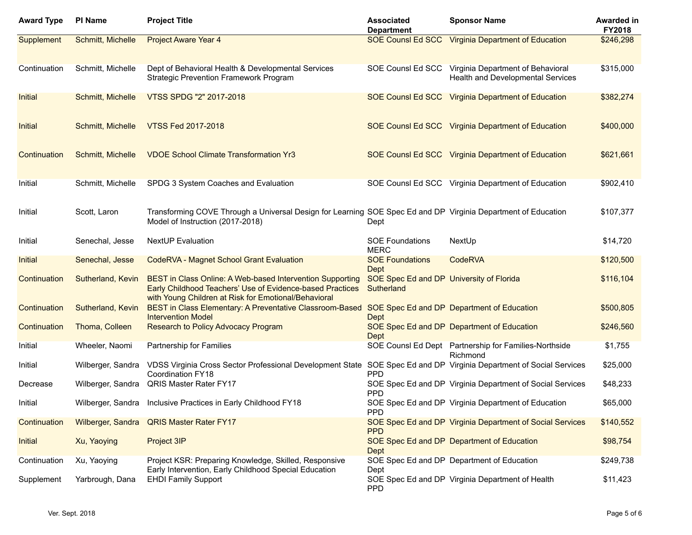| <b>Award Type</b> | PI Name                  | <b>Project Title</b>                                                                                                                                                                  | <b>Associated</b><br><b>Department</b>                 | <b>Sponsor Name</b>                                                    | <b>Awarded in</b><br><b>FY2018</b> |
|-------------------|--------------------------|---------------------------------------------------------------------------------------------------------------------------------------------------------------------------------------|--------------------------------------------------------|------------------------------------------------------------------------|------------------------------------|
| Supplement        | Schmitt, Michelle        | <b>Project Aware Year 4</b>                                                                                                                                                           | <b>SOE CounsI Ed SCC</b>                               | <b>Virginia Department of Education</b>                                | \$246,298                          |
| Continuation      | Schmitt, Michelle        | Dept of Behavioral Health & Developmental Services<br><b>Strategic Prevention Framework Program</b>                                                                                   | SOE Counsi Ed SCC                                      | Virginia Department of Behavioral<br>Health and Developmental Services | \$315,000                          |
| Initial           | Schmitt, Michelle        | VTSS SPDG "2" 2017-2018                                                                                                                                                               |                                                        | SOE Counsl Ed SCC Virginia Department of Education                     | \$382,274                          |
| Initial           | Schmitt, Michelle        | VTSS Fed 2017-2018                                                                                                                                                                    |                                                        | SOE Counsl Ed SCC Virginia Department of Education                     | \$400,000                          |
| Continuation      | Schmitt, Michelle        | <b>VDOE School Climate Transformation Yr3</b>                                                                                                                                         |                                                        | SOE Counsl Ed SCC Virginia Department of Education                     | \$621,661                          |
| Initial           | Schmitt, Michelle        | SPDG 3 System Coaches and Evaluation                                                                                                                                                  |                                                        | SOE Counsl Ed SCC Virginia Department of Education                     | \$902,410                          |
| Initial           | Scott, Laron             | Transforming COVE Through a Universal Design for Learning SOE Spec Ed and DP Virginia Department of Education<br>Model of Instruction (2017-2018)                                     | Dept                                                   |                                                                        | \$107,377                          |
| Initial           | Senechal, Jesse          | <b>NextUP</b> Evaluation                                                                                                                                                              | <b>SOE Foundations</b><br><b>MERC</b>                  | NextUp                                                                 | \$14,720                           |
| Initial           | Senechal, Jesse          | <b>CodeRVA - Magnet School Grant Evaluation</b>                                                                                                                                       | <b>SOE Foundations</b><br>Dept                         | CodeRVA                                                                | \$120,500                          |
| Continuation      | Sutherland, Kevin        | <b>BEST in Class Online: A Web-based Intervention Supporting</b><br>Early Childhood Teachers' Use of Evidence-based Practices<br>with Young Children at Risk for Emotional/Behavioral | SOE Spec Ed and DP University of Florida<br>Sutherland |                                                                        | \$116,104                          |
| Continuation      | Sutherland, Kevin        | BEST in Class Elementary: A Preventative Classroom-Based<br><b>Intervention Model</b>                                                                                                 | Dept                                                   | SOE Spec Ed and DP Department of Education                             | \$500,805                          |
| Continuation      | Thoma, Colleen           | <b>Research to Policy Advocacy Program</b>                                                                                                                                            | Dept                                                   | SOE Spec Ed and DP Department of Education                             | \$246,560                          |
| Initial           | Wheeler, Naomi           | Partnership for Families                                                                                                                                                              |                                                        | SOE Counsl Ed Dept Partnership for Families-Northside<br>Richmond      | \$1,755                            |
| Initial           | Wilberger, Sandra        | VDSS Virginia Cross Sector Professional Development State SOE Spec Ed and DP Virginia Department of Social Services<br><b>Coordination FY18</b>                                       | <b>PPD</b>                                             |                                                                        | \$25,000                           |
| Decrease          | Wilberger, Sandra        | QRIS Master Rater FY17                                                                                                                                                                | <b>PPD</b>                                             | SOE Spec Ed and DP Virginia Department of Social Services              | \$48,233                           |
| Initial           |                          | Wilberger, Sandra Inclusive Practices in Early Childhood FY18                                                                                                                         | <b>PPD</b>                                             | SOE Spec Ed and DP Virginia Department of Education                    | \$65,000                           |
| Continuation      | <b>Wilberger, Sandra</b> | <b>QRIS Master Rater FY17</b>                                                                                                                                                         | <b>PPD</b>                                             | SOE Spec Ed and DP Virginia Department of Social Services              | \$140,552                          |
| Initial           | Xu, Yaoying              | Project 3IP                                                                                                                                                                           | Dept                                                   | SOE Spec Ed and DP Department of Education                             | \$98,754                           |
| Continuation      | Xu, Yaoying              | Project KSR: Preparing Knowledge, Skilled, Responsive<br>Early Intervention, Early Childhood Special Education                                                                        | Dept                                                   | SOE Spec Ed and DP Department of Education                             | \$249,738                          |
| Supplement        | Yarbrough, Dana          | <b>EHDI Family Support</b>                                                                                                                                                            | <b>PPD</b>                                             | SOE Spec Ed and DP Virginia Department of Health                       | \$11,423                           |